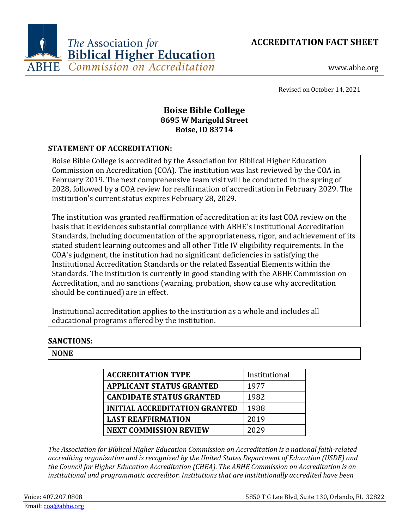**ACCREDITATION FACT SHEET**



www.abhe.org

Revised on October 14, 2021

# **Boise Bible College 8695 W Marigold Street Boise, ID 83714**

## **STATEMENT OF ACCREDITATION:**

Boise Bible College is accredited by the Association for Biblical Higher Education Commission on Accreditation (COA). The institution was last reviewed by the COA in February 2019. The next comprehensive team visit will be conducted in the spring of 2028, followed by a COA review for reaffirmation of accreditation in February 2029. The institution's current status expires February 28, 2029.

The institution was granted reaffirmation of accreditation at its last COA review on the basis that it evidences substantial compliance with ABHE's Institutional Accreditation Standards, including documentation of the appropriateness, rigor, and achievement of its stated student learning outcomes and all other Title IV eligibility requirements. In the COA's judgment, the institution had no significant deficiencies in satisfying the Institutional Accreditation Standards or the related Essential Elements within the Standards. The institution is currently in good standing with the ABHE Commission on Accreditation, and no sanctions (warning, probation, show cause why accreditation should be continued) are in effect.

Institutional accreditation applies to the institution as a whole and includes all educational programs offered by the institution.

## **SANCTIONS:**

## **NONE**

| <b>ACCREDITATION TYPE</b>            | Institutional |
|--------------------------------------|---------------|
| <b>APPLICANT STATUS GRANTED</b>      | 1977          |
| <b>CANDIDATE STATUS GRANTED</b>      | 1982          |
| <b>INITIAL ACCREDITATION GRANTED</b> | 1988          |
| <b>LAST REAFFIRMATION</b>            | 2019          |
| <b>NEXT COMMISSION REVIEW</b>        | 2029          |

*The Association for Biblical Higher Education Commission on Accreditation is a national faith-related accrediting organization and is recognized by the United States Department of Education (USDE) and the Council for Higher Education Accreditation (CHEA). The ABHE Commission on Accreditation is an institutional and programmatic accreditor. Institutions that are institutionally accredited have been*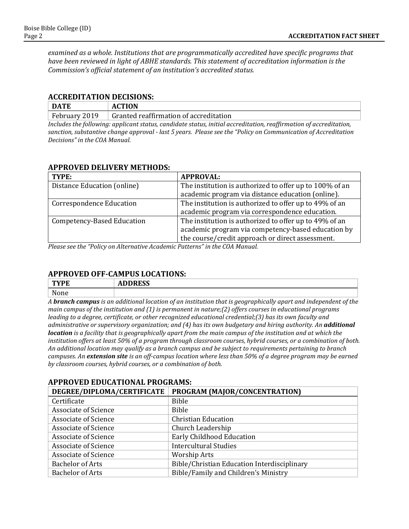*examined as a whole. Institutions that are programmatically accredited have specific programs that have been reviewed in light of ABHE standards. This statement of accreditation information is the Commission's official statement of an institution's accredited status.*

#### **ACCREDITATION DECISIONS:**

| <b>DATE</b>                           | <b>ACTION</b><br>A                     |
|---------------------------------------|----------------------------------------|
| $\mathbf{r}$<br>2019<br>, February '' | Granted reaffirmation of accreditation |

*Includes the following: applicant status, candidate status, initial accreditation, reaffirmation of accreditation, sanction, substantive change approval - last 5 years. Please see the "Policy on Communication of Accreditation Decisions" in the COA Manual.*

### **APPROVED DELIVERY METHODS:**

| TYPE:                             | <b>APPROVAL:</b>                                        |
|-----------------------------------|---------------------------------------------------------|
| Distance Education (online)       | The institution is authorized to offer up to 100% of an |
|                                   | academic program via distance education (online).       |
| <b>Correspondence Education</b>   | The institution is authorized to offer up to 49% of an  |
|                                   | academic program via correspondence education.          |
| <b>Competency-Based Education</b> | The institution is authorized to offer up to 49% of an  |
|                                   | academic program via competency-based education by      |
|                                   | the course/credit approach or direct assessment.        |

*Please see the "Policy on Alternative Academic Patterns" in the COA Manual.*

## **APPROVED OFF-CAMPUS LOCATIONS:**

| TVDE<br>IFE       | $\mathbf{1}$<br>ADDREJJ |
|-------------------|-------------------------|
| <b>NT</b><br>None |                         |

*A branch campus is an additional location of an institution that is geographically apart and independent of the main campus of the institution and (1) is permanent in nature;(2) offers courses in educational programs leading to a degree, certificate, or other recognized educational credential;(3) has its own faculty and administrative or supervisory organization; and (4) has its own budgetary and hiring authority. An additional location is a facility that is geographically apart from the main campus of the institution and at which the institution offers at least 50% of a program through classroom courses, hybrid courses, or a combination of both. An additional location may qualify as a branch campus and be subject to requirements pertaining to branch campuses. An extension site is an off-campus location where less than 50% of a degree program may be earned by classroom courses, hybrid courses, or a combination of both.*

## **APPROVED EDUCATIONAL PROGRAMS:**

| DEGREE/DIPLOMA/CERTIFICATE  | PROGRAM (MAJOR/CONCENTRATION)               |
|-----------------------------|---------------------------------------------|
| Certificate                 | Bible                                       |
| <b>Associate of Science</b> | Bible                                       |
| <b>Associate of Science</b> | <b>Christian Education</b>                  |
| <b>Associate of Science</b> | Church Leadership                           |
| Associate of Science        | Early Childhood Education                   |
| <b>Associate of Science</b> | <b>Intercultural Studies</b>                |
| <b>Associate of Science</b> | <b>Worship Arts</b>                         |
| <b>Bachelor of Arts</b>     | Bible/Christian Education Interdisciplinary |
| <b>Bachelor of Arts</b>     | Bible/Family and Children's Ministry        |